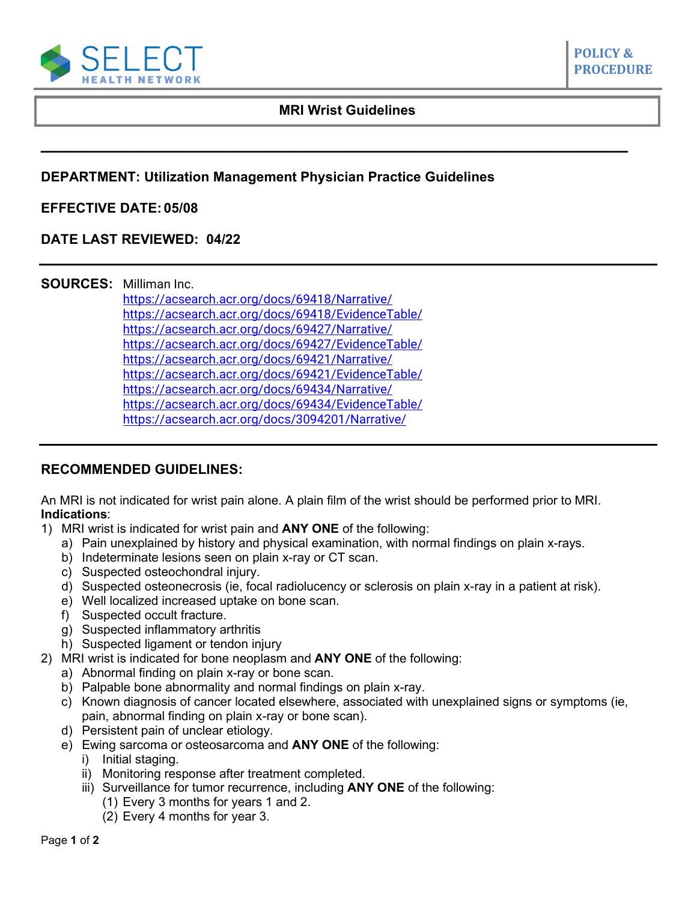

# **MRI Wrist Guidelines**

**\_\_\_\_\_\_\_\_\_\_\_\_\_\_\_\_\_\_\_\_\_\_\_\_\_\_\_\_\_\_\_\_\_\_\_\_\_\_\_\_\_\_\_\_\_\_\_\_\_\_\_\_\_\_\_\_\_\_**

**POLICY & PROCEDURE**

**DEPARTMENT: Utilization Management Physician Practice Guidelines**

# **EFFECTIVE DATE: 05/08**

# **DATE LAST REVIEWED: 04/22**

### **SOURCES:** Milliman Inc.

<https://acsearch.acr.org/docs/69418/Narrative/> [https://acsearch.acr.org/docs/69418/EvidenceTable/](https://acsearch.acr.org/list/GetEvidence?TopicId=77&TopicName=Acute%20Hand%20and%20Wrist%20Trauma) <https://acsearch.acr.org/docs/69427/Narrative/> [https://acsearch.acr.org/docs/69427/EvidenceTable/](https://acsearch.acr.org/list/GetEvidence?TopicId=86&TopicName=Chronic%20Wrist%20Pain) <https://acsearch.acr.org/docs/69421/Narrative/> [https://acsearch.acr.org/docs/69421/EvidenceTable/](https://acsearch.acr.org/list/GetEvidence?TopicId=80&TopicName=Primary%20Bone%20Tumors) <https://acsearch.acr.org/docs/69434/Narrative/> [https://acsearch.acr.org/docs/69434/EvidenceTable/](https://acsearch.acr.org/list/GetEvidence?TopicId=92&TopicName=Soft-Tissue%20Masses) <https://acsearch.acr.org/docs/3094201/Narrative/>

# **RECOMMENDED GUIDELINES:**

An MRI is not indicated for wrist pain alone. A plain film of the wrist should be performed prior to MRI. **Indications**:

- 1) MRI wrist is indicated for wrist pain and **ANY ONE** of the following:
	- a) Pain unexplained by history and physical examination, with normal findings on plain x-rays.
	- b) Indeterminate lesions seen on plain x-ray or CT scan.
	- c) Suspected osteochondral injury.
	- d) Suspected osteonecrosis (ie, focal radiolucency or sclerosis on plain x-ray in a patient at risk).
	- e) Well localized increased uptake on bone scan.
	- f) Suspected occult fracture.
	- g) Suspected inflammatory arthritis
	- h) Suspected ligament or tendon injury
- 2) MRI wrist is indicated for bone neoplasm and **ANY ONE** of the following:
	- a) Abnormal finding on plain x-ray or bone scan.
	- b) Palpable bone abnormality and normal findings on plain x-ray.
	- c) Known diagnosis of cancer located elsewhere, associated with unexplained signs or symptoms (ie, pain, abnormal finding on plain x-ray or bone scan).
	- d) Persistent pain of unclear etiology.
	- e) Ewing sarcoma or osteosarcoma and **ANY ONE** of the following:
		- i) Initial staging.
		- ii) Monitoring response after treatment completed.
		- iii) Surveillance for tumor recurrence, including **ANY ONE** of the following:
			- (1) Every 3 months for years 1 and 2.
			- (2) Every 4 months for year 3.